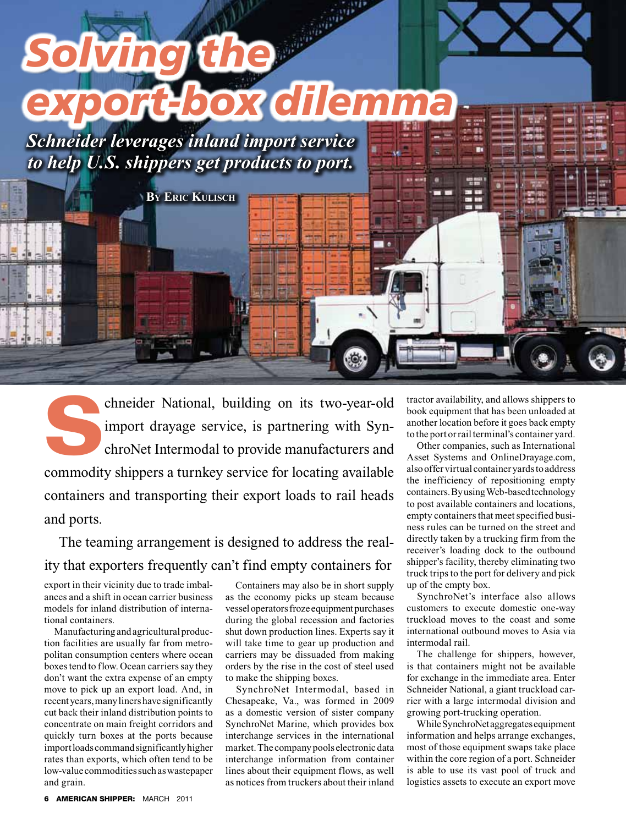

chneider National, building on its two-year-old<br>import drayage service, is partnering with Syn-<br>chroNet Intermodal to provide manufacturers and import drayage service, is partnering with SynchroNet Intermodal to provide manufacturers and commodity shippers a turnkey service for locating available containers and transporting their export loads to rail heads and ports.

The teaming arrangement is designed to address the reality that exporters frequently can't find empty containers for

export in their vicinity due to trade imbalances and a shift in ocean carrier business models for inland distribution of international containers.

Manufacturing and agricultural production facilities are usually far from metropolitan consumption centers where ocean boxes tend to flow. Ocean carriers say they don't want the extra expense of an empty move to pick up an export load. And, in recent years, many liners have significantly cut back their inland distribution points to concentrate on main freight corridors and quickly turn boxes at the ports because import loads command significantly higher rates than exports, which often tend to be low-value commodities such as wastepaper and grain.

Containers may also be in short supply as the economy picks up steam because vessel operators froze equipment purchases during the global recession and factories shut down production lines. Experts say it will take time to gear up production and carriers may be dissuaded from making orders by the rise in the cost of steel used to make the shipping boxes.

SynchroNet Intermodal, based in Chesapeake, Va., was formed in 2009 as a domestic version of sister company SynchroNet Marine, which provides box interchange services in the international market. The company pools electronic data interchange information from container lines about their equipment flows, as well as notices from truckers about their inland

tractor availability, and allows shippers to book equipment that has been unloaded at another location before it goes back empty to the port or rail terminal's container yard.

Other companies, such as International Asset Systems and OnlineDrayage.com, also offer virtual container yards to address the inefficiency of repositioning empty containers. By using Web-based technology to post available containers and locations, empty containers that meet specified business rules can be turned on the street and directly taken by a trucking firm from the receiver's loading dock to the outbound shipper's facility, thereby eliminating two truck trips to the port for delivery and pick up of the empty box.

SynchroNet's interface also allows customers to execute domestic one-way truckload moves to the coast and some international outbound moves to Asia via intermodal rail.

The challenge for shippers, however, is that containers might not be available for exchange in the immediate area. Enter Schneider National, a giant truckload carrier with a large intermodal division and growing port-trucking operation.

While SynchroNet aggregates equipment information and helps arrange exchanges, most of those equipment swaps take place within the core region of a port. Schneider is able to use its vast pool of truck and logistics assets to execute an export move